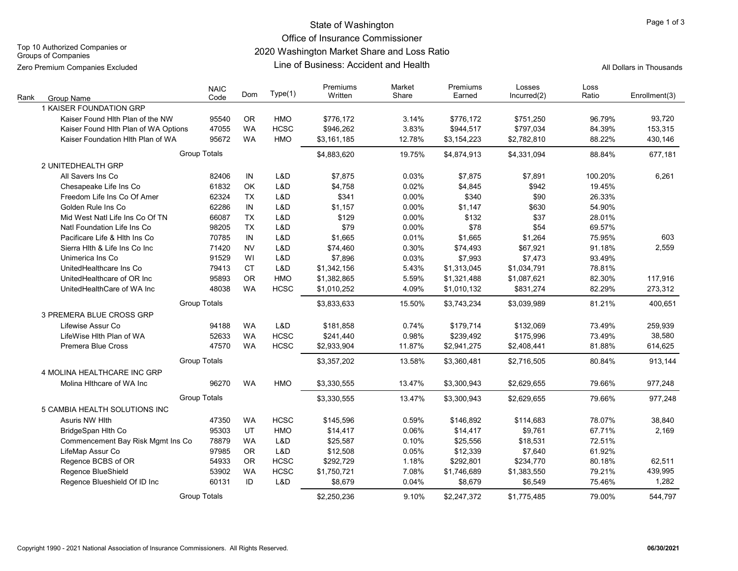# State of Washington **Page 1 of 3** and 2 of 3 and 2 of 3 and 2 of 3 and 2 of 3 and 2 of 3 and 2 of 3 and 2 of 3 and 2 of 3 and 2 of 3 and 2 of 3 and 2 of 3 and 2 of 3 and 2 of 3 and 2 of 3 and 2 of 3 and 2 of 3 and 2 of 3 a

Office of Insurance Commissioner

Top 10 Authorized Companies or Groups of Companies

Zero Premium Companies Excluded

# 2020 Washington Market Share and Loss Ratio

Line of Business: Accident and Health

All Dollars in Thousands

| Rank | Group Name                           | <b>NAIC</b><br>Code | Dom       | Type(1)     | Premiums<br>Written | Market<br>Share | Premiums<br>Earned | Losses<br>Incurred(2) | Loss<br>Ratio | Enrollment(3) |
|------|--------------------------------------|---------------------|-----------|-------------|---------------------|-----------------|--------------------|-----------------------|---------------|---------------|
|      | 1 KAISER FOUNDATION GRP              |                     |           |             |                     |                 |                    |                       |               |               |
|      | Kaiser Found Hlth Plan of the NW     | 95540               | <b>OR</b> | <b>HMO</b>  | \$776,172           | 3.14%           | \$776,172          | \$751,250             | 96.79%        | 93,720        |
|      | Kaiser Found Hlth Plan of WA Options | 47055               | <b>WA</b> | <b>HCSC</b> | \$946,262           | 3.83%           | \$944,517          | \$797,034             | 84.39%        | 153,315       |
|      | Kaiser Foundation Hith Plan of WA    | 95672               | <b>WA</b> | HMO         | \$3,161,185         | 12.78%          | \$3,154,223        | \$2,782,810           | 88.22%        | 430,146       |
|      |                                      | <b>Group Totals</b> |           |             | \$4,883,620         | 19.75%          | \$4,874,913        | \$4,331,094           | 88.84%        | 677,181       |
|      | 2 UNITEDHEALTH GRP                   |                     |           |             |                     |                 |                    |                       |               |               |
|      | All Savers Ins Co                    | 82406               | IN        | L&D         | \$7,875             | 0.03%           | \$7,875            | \$7,891               | 100.20%       | 6,261         |
|      | Chesapeake Life Ins Co               | 61832               | OK        | L&D         | \$4,758             | 0.02%           | \$4,845            | \$942                 | 19.45%        |               |
|      | Freedom Life Ins Co Of Amer          | 62324               | <b>TX</b> | L&D         | \$341               | 0.00%           | \$340              | \$90                  | 26.33%        |               |
|      | Golden Rule Ins Co                   | 62286               | IN        | L&D         | \$1,157             | 0.00%           | \$1,147            | \$630                 | 54.90%        |               |
|      | Mid West Natl Life Ins Co Of TN      | 66087               | <b>TX</b> | L&D         | \$129               | 0.00%           | \$132              | \$37                  | 28.01%        |               |
|      | Natl Foundation Life Ins Co          | 98205               | <b>TX</b> | L&D         | \$79                | 0.00%           | \$78               | \$54                  | 69.57%        |               |
|      | Pacificare Life & Hith Ins Co        | 70785               | IN        | L&D         | \$1,665             | 0.01%           | \$1,665            | \$1,264               | 75.95%        | 603           |
|      | Sierra Hith & Life Ins Co Inc        | 71420               | <b>NV</b> | L&D         | \$74,460            | 0.30%           | \$74,493           | \$67,921              | 91.18%        | 2,559         |
|      | Unimerica Ins Co                     | 91529               | WI        | L&D         | \$7,896             | 0.03%           | \$7,993            | \$7,473               | 93.49%        |               |
|      | UnitedHealthcare Ins Co              | 79413               | CT        | L&D         | \$1,342,156         | 5.43%           | \$1,313,045        | \$1,034,791           | 78.81%        |               |
|      | UnitedHealthcare of OR Inc           | 95893               | <b>OR</b> | <b>HMO</b>  | \$1,382,865         | 5.59%           | \$1,321,488        | \$1,087,621           | 82.30%        | 117,916       |
|      | UnitedHealthCare of WA Inc           | 48038               | <b>WA</b> | <b>HCSC</b> | \$1,010,252         | 4.09%           | \$1,010,132        | \$831,274             | 82.29%        | 273,312       |
|      |                                      | <b>Group Totals</b> |           |             | \$3,833,633         | 15.50%          | \$3,743,234        | \$3,039,989           | 81.21%        | 400,651       |
|      | 3 PREMERA BLUE CROSS GRP             |                     |           |             |                     |                 |                    |                       |               |               |
|      | Lifewise Assur Co                    | 94188               | <b>WA</b> | L&D         | \$181,858           | 0.74%           | \$179,714          | \$132,069             | 73.49%        | 259,939       |
|      | LifeWise Hlth Plan of WA             | 52633               | <b>WA</b> | <b>HCSC</b> | \$241,440           | 0.98%           | \$239,492          | \$175,996             | 73.49%        | 38,580        |
|      | <b>Premera Blue Cross</b>            | 47570               | <b>WA</b> | <b>HCSC</b> | \$2,933,904         | 11.87%          | \$2,941,275        | \$2,408,441           | 81.88%        | 614,625       |
|      |                                      | <b>Group Totals</b> |           |             | \$3,357,202         | 13.58%          | \$3,360,481        | \$2,716,505           | 80.84%        | 913,144       |
|      | 4 MOLINA HEALTHCARE INC GRP          |                     |           |             |                     |                 |                    |                       |               |               |
|      | Molina Hithcare of WA Inc            | 96270               | <b>WA</b> | HMO         | \$3,330,555         | 13.47%          | \$3,300,943        | \$2,629,655           | 79.66%        | 977,248       |
|      |                                      | <b>Group Totals</b> |           |             | \$3,330,555         | 13.47%          | \$3,300,943        | \$2,629,655           | 79.66%        | 977,248       |
|      | 5 CAMBIA HEALTH SOLUTIONS INC        |                     |           |             |                     |                 |                    |                       |               |               |
|      | Asuris NW Hith                       | 47350               | <b>WA</b> | <b>HCSC</b> | \$145,596           | 0.59%           | \$146,892          | \$114,683             | 78.07%        | 38,840        |
|      | BridgeSpan Hlth Co                   | 95303               | UT        | HMO         | \$14,417            | 0.06%           | \$14,417           | \$9,761               | 67.71%        | 2,169         |
|      | Commencement Bay Risk Mgmt Ins Co    | 78879               | <b>WA</b> | L&D         | \$25,587            | 0.10%           | \$25,556           | \$18,531              | 72.51%        |               |
|      | LifeMap Assur Co                     | 97985               | <b>OR</b> | L&D         | \$12,508            | 0.05%           | \$12,339           | \$7,640               | 61.92%        |               |
|      | Regence BCBS of OR                   | 54933               | <b>OR</b> | <b>HCSC</b> | \$292,729           | 1.18%           | \$292,801          | \$234,770             | 80.18%        | 62,511        |
|      | Regence BlueShield                   | 53902               | <b>WA</b> | <b>HCSC</b> | \$1,750,721         | 7.08%           | \$1,746,689        | \$1,383,550           | 79.21%        | 439,995       |
|      | Regence Blueshield Of ID Inc         | 60131               | ID        | L&D         | \$8.679             | 0.04%           | \$8,679            | \$6,549               | 75.46%        | 1,282         |
|      |                                      | <b>Group Totals</b> |           |             | \$2,250,236         | 9.10%           | \$2,247,372        | \$1,775,485           | 79.00%        | 544.797       |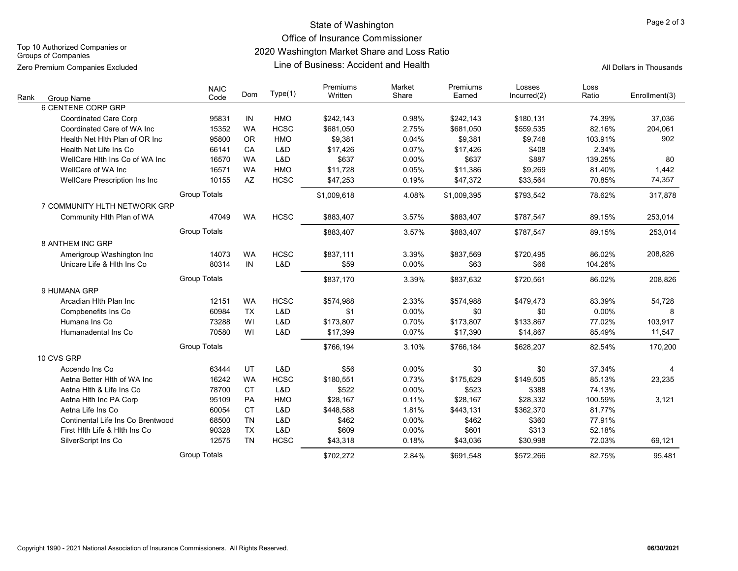State of Washington **Page 2 of 3** 

# Office of Insurance Commissioner

2020 Washington Market Share and Loss Ratio

Groups of Companies Zero Premium Companies Excluded

Top 10 Authorized Companies or

### Line of Business: Accident and Health

All Dollars in Thousands

| Rank<br><b>Group Name</b>         | <b>NAIC</b><br>Code | Dom       | Type(1)     | Premiums<br>Written | Market<br>Share | Premiums<br>Earned | Losses<br>Incurred(2) | Loss<br>Ratio | Enrollment(3) |
|-----------------------------------|---------------------|-----------|-------------|---------------------|-----------------|--------------------|-----------------------|---------------|---------------|
| 6 CENTENE CORP GRP                |                     |           |             |                     |                 |                    |                       |               |               |
| <b>Coordinated Care Corp</b>      | 95831               | IN        | <b>HMO</b>  | \$242,143           | 0.98%           | \$242,143          | \$180,131             | 74.39%        | 37,036        |
| Coordinated Care of WA Inc        | 15352               | <b>WA</b> | <b>HCSC</b> | \$681,050           | 2.75%           | \$681,050          | \$559,535             | 82.16%        | 204,061       |
| Health Net Hith Plan of OR Inc    | 95800               | <b>OR</b> | <b>HMO</b>  | \$9,381             | 0.04%           | \$9,381            | \$9,748               | 103.91%       | 902           |
| Health Net Life Ins Co            | 66141               | CA        | L&D         | \$17,426            | 0.07%           | \$17,426           | \$408                 | 2.34%         |               |
| WellCare Hith Ins Co of WA Inc    | 16570               | <b>WA</b> | L&D         | \$637               | 0.00%           | \$637              | \$887                 | 139.25%       | 80            |
| WellCare of WA Inc                | 16571               | <b>WA</b> | <b>HMO</b>  | \$11,728            | 0.05%           | \$11,386           | \$9,269               | 81.40%        | 1,442         |
| WellCare Prescription Ins Inc     | 10155               | AZ        | <b>HCSC</b> | \$47,253            | 0.19%           | \$47,372           | \$33,564              | 70.85%        | 74,357        |
|                                   | <b>Group Totals</b> |           |             | \$1,009,618         | 4.08%           | \$1,009,395        | \$793,542             | 78.62%        | 317,878       |
| 7 COMMUNITY HLTH NETWORK GRP      |                     |           |             |                     |                 |                    |                       |               |               |
| Community Hlth Plan of WA         | 47049               | <b>WA</b> | <b>HCSC</b> | \$883,407           | 3.57%           | \$883,407          | \$787,547             | 89.15%        | 253,014       |
|                                   | <b>Group Totals</b> |           |             | \$883,407           | 3.57%           | \$883,407          | \$787,547             | 89.15%        | 253,014       |
| 8 ANTHEM INC GRP                  |                     |           |             |                     |                 |                    |                       |               |               |
| Amerigroup Washington Inc         | 14073               | <b>WA</b> | <b>HCSC</b> | \$837,111           | 3.39%           | \$837,569          | \$720,495             | 86.02%        | 208,826       |
| Unicare Life & Hith Ins Co        | 80314               | IN        | L&D         | \$59                | 0.00%           | \$63               | \$66                  | 104.26%       |               |
|                                   | <b>Group Totals</b> |           |             | \$837,170           | 3.39%           | \$837,632          | \$720,561             | 86.02%        | 208,826       |
| 9 HUMANA GRP                      |                     |           |             |                     |                 |                    |                       |               |               |
| Arcadian Hith Plan Inc            | 12151               | <b>WA</b> | <b>HCSC</b> | \$574,988           | 2.33%           | \$574,988          | \$479,473             | 83.39%        | 54,728        |
| Compbenefits Ins Co               | 60984               | <b>TX</b> | L&D         | \$1                 | 0.00%           | \$0                | \$0                   | 0.00%         | 8             |
| Humana Ins Co                     | 73288               | WI        | L&D         | \$173,807           | 0.70%           | \$173,807          | \$133,867             | 77.02%        | 103,917       |
| Humanadental Ins Co               | 70580               | WI        | L&D         | \$17,399            | 0.07%           | \$17,390           | \$14,867              | 85.49%        | 11,547        |
|                                   | <b>Group Totals</b> |           |             | \$766.194           | 3.10%           | \$766.184          | \$628,207             | 82.54%        | 170,200       |
| 10 CVS GRP                        |                     |           |             |                     |                 |                    |                       |               |               |
| Accendo Ins Co                    | 63444               | UT        | L&D         | \$56                | 0.00%           | \$0                | \$0                   | 37.34%        | 4             |
| Aetna Better Hith of WA Inc       | 16242               | <b>WA</b> | <b>HCSC</b> | \$180,551           | 0.73%           | \$175,629          | \$149,505             | 85.13%        | 23,235        |
| Aetna Hith & Life Ins Co          | 78700               | <b>CT</b> | L&D         | \$522               | 0.00%           | \$523              | \$388                 | 74.13%        |               |
| Aetna Hith Inc PA Corp            | 95109               | PA        | <b>HMO</b>  | \$28,167            | 0.11%           | \$28,167           | \$28,332              | 100.59%       | 3,121         |
| Aetna Life Ins Co                 | 60054               | <b>CT</b> | L&D         | \$448,588           | 1.81%           | \$443,131          | \$362,370             | 81.77%        |               |
| Continental Life Ins Co Brentwood | 68500               | <b>TN</b> | L&D         | \$462               | 0.00%           | \$462              | \$360                 | 77.91%        |               |
| First Hith Life & Hith Ins Co     | 90328               | <b>TX</b> | L&D         | \$609               | 0.00%           | \$601              | \$313                 | 52.18%        |               |
| SilverScript Ins Co               | 12575               | <b>TN</b> | <b>HCSC</b> | \$43,318            | 0.18%           | \$43,036           | \$30,998              | 72.03%        | 69,121        |
|                                   | <b>Group Totals</b> |           |             | \$702.272           | 2.84%           | \$691.548          | \$572.266             | 82.75%        | 95.481        |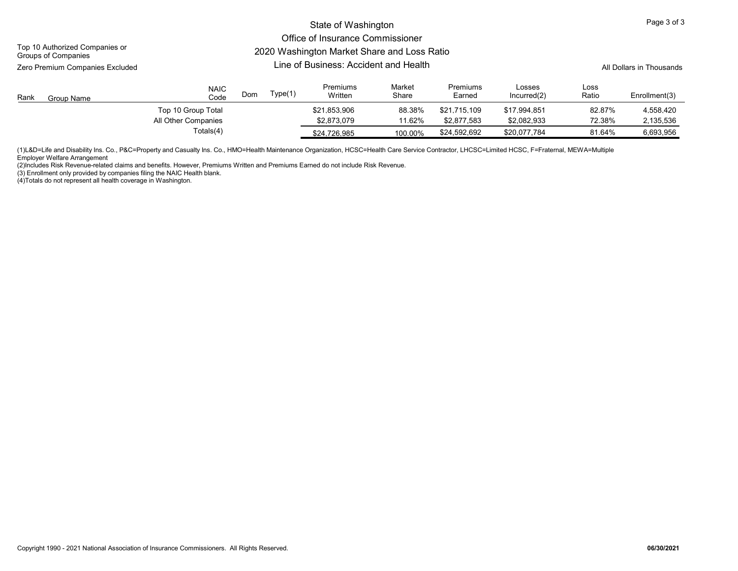### State of Washington

### Office of Insurance Commissioner 2020 Washington Market Share and Loss Ratio

Top 10 Authorized Companies or Groups of Companies

Zero Premium Companies Excluded

# Line of Business: Accident and Health

All Dollars in Thousands

| Rank | Group Name | <b>NAIC</b><br>Code | Dom | Type(1) | Premiums<br>Written | Market<br>Share | Premiums<br>Earned | Losses<br>Incurred(2) | Loss<br>Ratio | Enrollment(3) |
|------|------------|---------------------|-----|---------|---------------------|-----------------|--------------------|-----------------------|---------------|---------------|
|      |            | Top 10 Group Total  |     |         | \$21.853.906        | 88.38%          | \$21.715.109       | \$17.994.851          | 82.87%        | 4,558,420     |
|      |            | All Other Companies |     |         | \$2.873.079         | 11.62%          | \$2.877.583        | \$2.082.933           | 72.38%        | 2,135,536     |
|      |            | Totals(4)           |     |         | \$24.726.985        | 100.00%         | \$24,592,692       | \$20.077.784          | 81.64%        | 6,693,956     |

(1)L&D=Life and Disability Ins. Co., P&C=Property and Casualty Ins. Co., HMO=Health Maintenance Organization, HCSC=Health Care Service Contractor, LHCSC=Limited HCSC, F=Fraternal, MEWA=Multiple Employer Welfare Arrangement

(2)Includes Risk Revenue-related claims and benefits. However, Premiums Written and Premiums Earned do not include Risk Revenue.

(3) Enrollment only provided by companies filing the NAIC Health blank.

(4)Totals do not represent all health coverage in Washington.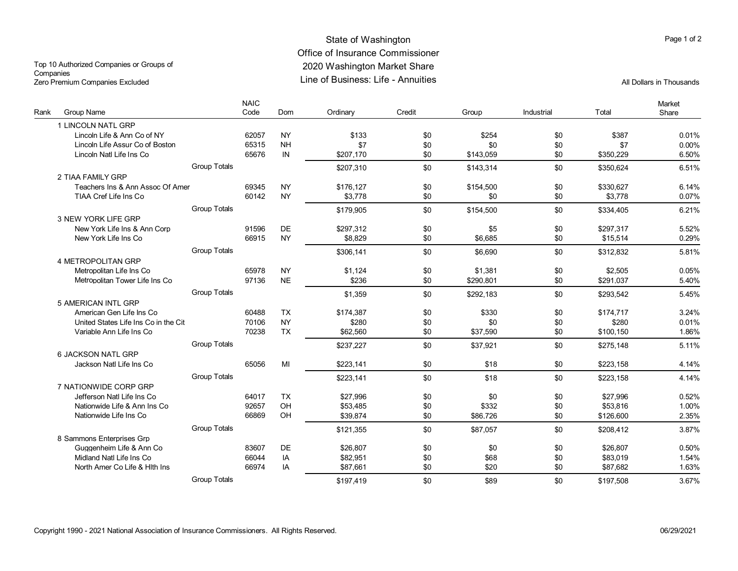# State of Washington **Page 1 of 2** and 2 and 2 and 2 and 2 and 2 and 2 and 2 and 2 and 2 and 2 and 2 and 2 and 2 and 2 and 2 and 2 and 2 and 2 and 2 and 2 and 2 and 2 and 2 and 2 and 2 and 2 and 2 and 2 and 2 and 2 and 2 an Office of Insurance Commissioner 2020 Washington Market Share Line of Business: Life - Annuities All Dollars in Thousands

Top 10 Authorized Companies or Groups of **Companies** Zero Premium Companies Excluded

| Rank | Group Name                           | <b>NAIC</b><br>Code | Dom       | Ordinary  | Credit | Group     | Industrial | Total     | Market<br>Share |
|------|--------------------------------------|---------------------|-----------|-----------|--------|-----------|------------|-----------|-----------------|
|      | 1 LINCOLN NATL GRP                   |                     |           |           |        |           |            |           |                 |
|      | Lincoln Life & Ann Co of NY          | 62057               | <b>NY</b> | \$133     | \$0    | \$254     | \$0        | \$387     | 0.01%           |
|      | Lincoln Life Assur Co of Boston      | 65315               | <b>NH</b> | \$7       | \$0    | \$0       | \$0        | \$7       | 0.00%           |
|      | Lincoln Natl Life Ins Co             | 65676               | IN        | \$207,170 | \$0    | \$143,059 | \$0        | \$350,229 | 6.50%           |
|      |                                      | <b>Group Totals</b> |           | \$207,310 | \$0    | \$143.314 | \$0        | \$350.624 | 6.51%           |
|      | 2 TIAA FAMILY GRP                    |                     |           |           |        |           |            |           |                 |
|      | Teachers Ins & Ann Assoc Of Amer     | 69345               | <b>NY</b> | \$176,127 | \$0    | \$154,500 | \$0        | \$330.627 | 6.14%           |
|      | TIAA Cref Life Ins Co                | 60142               | <b>NY</b> | \$3.778   | \$0    | \$0       | \$0        | \$3.778   | 0.07%           |
|      |                                      | <b>Group Totals</b> |           |           |        |           |            |           |                 |
|      | 3 NEW YORK LIFE GRP                  |                     |           | \$179,905 | \$0    | \$154,500 | \$0        | \$334,405 | 6.21%           |
|      | New York Life Ins & Ann Corp         | 91596               | <b>DE</b> | \$297,312 | \$0    | \$5       | \$0        | \$297,317 | 5.52%           |
|      | New York Life Ins Co                 | 66915               | <b>NY</b> | \$8,829   | \$0    | \$6.685   | \$0        | \$15.514  | 0.29%           |
|      |                                      |                     |           |           |        |           |            |           |                 |
|      |                                      | <b>Group Totals</b> |           | \$306,141 | \$0    | \$6.690   | \$0        | \$312.832 | 5.81%           |
|      | <b>4 METROPOLITAN GRP</b>            |                     |           |           |        |           |            |           |                 |
|      | Metropolitan Life Ins Co             | 65978               | <b>NY</b> | \$1,124   | \$0    | \$1,381   | \$0        | \$2,505   | 0.05%           |
|      | Metropolitan Tower Life Ins Co       | 97136               | <b>NE</b> | \$236     | \$0    | \$290.801 | \$0        | \$291.037 | 5.40%           |
|      |                                      | <b>Group Totals</b> |           | \$1,359   | \$0    | \$292,183 | \$0        | \$293,542 | 5.45%           |
|      | 5 AMERICAN INTL GRP                  |                     |           |           |        |           |            |           |                 |
|      | American Gen Life Ins Co             | 60488               | <b>TX</b> | \$174,387 | \$0    | \$330     | \$0        | \$174,717 | 3.24%           |
|      | United States Life Ins Co in the Cit | 70106               | <b>NY</b> | \$280     | \$0    | \$0       | \$0        | \$280     | 0.01%           |
|      | Variable Ann Life Ins Co             | 70238               | <b>TX</b> | \$62,560  | \$0    | \$37,590  | \$0        | \$100,150 | 1.86%           |
|      |                                      | <b>Group Totals</b> |           | \$237.227 | \$0    | \$37.921  | \$0        | \$275.148 | 5.11%           |
|      | 6 JACKSON NATL GRP                   |                     |           |           |        |           |            |           |                 |
|      | Jackson Natl Life Ins Co             | 65056               | MI        | \$223.141 | \$0    | \$18      | \$0        | \$223.158 | 4.14%           |
|      |                                      | <b>Group Totals</b> |           | \$223,141 | \$0    | \$18      | \$0        | \$223,158 | 4.14%           |
|      | 7 NATIONWIDE CORP GRP                |                     |           |           |        |           |            |           |                 |
|      | Jefferson Natl Life Ins Co           | 64017               | <b>TX</b> | \$27,996  | \$0    | \$0       | \$0        | \$27,996  | 0.52%           |
|      | Nationwide Life & Ann Ins Co         | 92657               | OH        | \$53.485  | \$0    | \$332     | \$0        | \$53.816  | 1.00%           |
|      | Nationwide Life Ins Co               | 66869               | OH        | \$39,874  | \$0    | \$86,726  | \$0        | \$126,600 | 2.35%           |
|      |                                      | <b>Group Totals</b> |           | \$121,355 | \$0    | \$87,057  | \$0        | \$208,412 | 3.87%           |
|      | 8 Sammons Enterprises Grp            |                     |           |           |        |           |            |           |                 |
|      | Guggenheim Life & Ann Co             | 83607               | DE.       | \$26.807  | \$0    | \$0       | \$0        | \$26.807  | 0.50%           |
|      | Midland Natl Life Ins Co             | 66044               | IA        | \$82,951  | \$0    | \$68      | \$0        | \$83,019  | 1.54%           |
|      | North Amer Co Life & Hith Ins        | 66974               | IA        | \$87.661  | \$0    | \$20      | \$0        | \$87.682  | 1.63%           |
|      |                                      | <b>Group Totals</b> |           | \$197.419 | \$0    | \$89      | \$0        | \$197,508 | 3.67%           |
|      |                                      |                     |           |           |        |           |            |           |                 |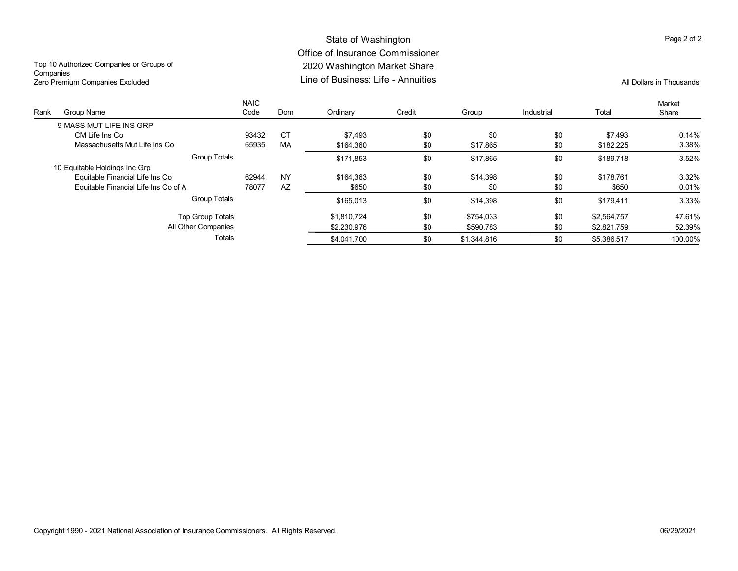# State of Washington Office of Insurance Commissioner 2020 Washington Market Share

Top 10 Authorized Companies or Groups of **Companies** Zero Premium Companies Excluded

### Line of Business: Life - Annuities All Dollars in Thousands

| Rank | Group Name                           | <b>NAIC</b><br>Code | <b>Dom</b> | Ordinary    | Credit | Group       | Industrial | Total       | Market<br>Share |
|------|--------------------------------------|---------------------|------------|-------------|--------|-------------|------------|-------------|-----------------|
|      | 9 MASS MUT LIFE INS GRP              |                     |            |             |        |             |            |             |                 |
|      | CM Life Ins Co                       | 93432               | <b>CT</b>  | \$7.493     | \$0    | \$0         | \$0        | \$7.493     | 0.14%           |
|      | Massachusetts Mut Life Ins Co        | 65935               | MA         | \$164.360   | \$0    | \$17.865    | \$0        | \$182.225   | 3.38%           |
|      | Group Totals                         |                     |            | \$171.853   | \$0    | \$17,865    | \$0        | \$189.718   | 3.52%           |
|      | 10 Equitable Holdings Inc Grp        |                     |            |             |        |             |            |             |                 |
|      | Equitable Financial Life Ins Co      | 62944               | <b>NY</b>  | \$164.363   | \$0    | \$14.398    | \$0        | \$178.761   | 3.32%           |
|      | Equitable Financial Life Ins Co of A | 78077               | AZ         | \$650       | \$0    | \$0         | \$0        | \$650       | 0.01%           |
|      | <b>Group Totals</b>                  |                     |            | \$165.013   | \$0    | \$14.398    | \$0        | \$179.411   | 3.33%           |
|      | Top Group Totals                     |                     |            | \$1.810.724 | \$0    | \$754.033   | \$0        | \$2.564.757 | 47.61%          |
|      | All Other Companies                  |                     |            | \$2,230,976 | \$0    | \$590.783   | \$0        | \$2,821.759 | 52.39%          |
|      | Totals                               |                     |            | \$4.041.700 | \$0    | \$1,344.816 | \$0        | \$5.386.517 | 100.00%         |

Page 2 of 2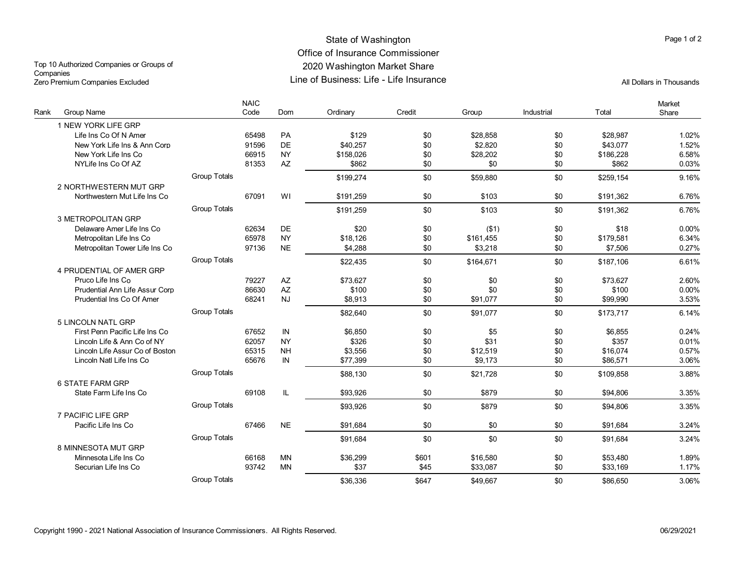# State of Washington **Page 1 of 2** and 2 and 2 and 2 and 2 and 2 and 2 and 2 and 2 and 2 and 2 and 2 and 2 and 2 and 2 and 2 and 2 and 2 and 2 and 2 and 2 and 2 and 2 and 2 and 2 and 2 and 2 and 2 and 2 and 2 and 2 and 2 an Office of Insurance Commissioner 2020 Washington Market Share Line of Business: Life - Life Insurance All Dollars in Thousands

Top 10 Authorized Companies or Groups of **Companies** Zero Premium Companies Excluded

| Rank | Group Name                      |                     | <b>NAIC</b><br>Code | Dom                    | Ordinary  | Credit | Group     | Industrial | Total     | Market<br>Share |
|------|---------------------------------|---------------------|---------------------|------------------------|-----------|--------|-----------|------------|-----------|-----------------|
|      | 1 NEW YORK LIFE GRP             |                     |                     |                        |           |        |           |            |           |                 |
|      | Life Ins Co Of N Amer           |                     | 65498               | PA                     | \$129     | \$0    | \$28.858  | \$0        | \$28.987  | 1.02%           |
|      | New York Life Ins & Ann Corp    |                     | 91596               | DE                     | \$40.257  | \$0    | \$2.820   | \$0        | \$43.077  | 1.52%           |
|      | New York Life Ins Co            |                     | 66915               | <b>NY</b>              | \$158,026 | \$0    | \$28,202  | \$0        | \$186,228 | 6.58%           |
|      | NYLife Ins Co Of AZ             |                     | 81353               | $\mathsf{A}\mathsf{Z}$ | \$862     | \$0    | \$0       | \$0        | \$862     | 0.03%           |
|      |                                 | <b>Group Totals</b> |                     |                        | \$199,274 | \$0    | \$59.880  | \$0        | \$259.154 | 9.16%           |
|      | 2 NORTHWESTERN MUT GRP          |                     |                     |                        |           |        |           |            |           |                 |
|      | Northwestern Mut Life Ins Co    |                     | 67091               | WI                     | \$191.259 | \$0    | \$103     | \$0        | \$191.362 | 6.76%           |
|      |                                 | <b>Group Totals</b> |                     |                        | \$191.259 | \$0    | \$103     | \$0        | \$191.362 | 6.76%           |
|      | 3 METROPOLITAN GRP              |                     |                     |                        |           |        |           |            |           |                 |
|      | Delaware Amer Life Ins Co       |                     | 62634               | <b>DE</b>              | \$20      | \$0    | ( \$1)    | \$0        | \$18      | 0.00%           |
|      | Metropolitan Life Ins Co        |                     | 65978               | <b>NY</b>              | \$18,126  | \$0    | \$161,455 | \$0        | \$179,581 | 6.34%           |
|      | Metropolitan Tower Life Ins Co  |                     | 97136               | <b>NE</b>              | \$4,288   | \$0    | \$3,218   | \$0        | \$7,506   | 0.27%           |
|      |                                 | <b>Group Totals</b> |                     |                        | \$22,435  | \$0    | \$164,671 | \$0        | \$187.106 | 6.61%           |
|      | 4 PRUDENTIAL OF AMER GRP        |                     |                     |                        |           |        |           |            |           |                 |
|      | Pruco Life Ins Co               |                     | 79227               | AZ                     | \$73.627  | \$0    | \$0       | \$0        | \$73,627  | 2.60%           |
|      | Prudential Ann Life Assur Corp  |                     | 86630               | AZ                     | \$100     | \$0    | \$0       | \$0        | \$100     | 0.00%           |
|      | Prudential Ins Co Of Amer       |                     | 68241               | <b>NJ</b>              | \$8,913   | \$0    | \$91,077  | \$0        | \$99.990  | 3.53%           |
|      |                                 | <b>Group Totals</b> |                     |                        | \$82,640  | \$0    | \$91,077  | \$0        | \$173.717 | 6.14%           |
|      | 5 LINCOLN NATL GRP              |                     |                     |                        |           |        |           |            |           |                 |
|      | First Penn Pacific Life Ins Co  |                     | 67652               | IN                     | \$6,850   | \$0    | \$5       | \$0        | \$6,855   | 0.24%           |
|      | Lincoln Life & Ann Co of NY     |                     | 62057               | <b>NY</b>              | \$326     | \$0    | \$31      | \$0        | \$357     | 0.01%           |
|      | Lincoln Life Assur Co of Boston |                     | 65315               | <b>NH</b>              | \$3,556   | \$0    | \$12,519  | \$0        | \$16,074  | 0.57%           |
|      | Lincoln Natl Life Ins Co        |                     | 65676               | IN                     | \$77,399  | \$0    | \$9,173   | \$0        | \$86,571  | 3.06%           |
|      |                                 | <b>Group Totals</b> |                     |                        | \$88,130  | \$0    | \$21.728  | \$0        | \$109.858 | 3.88%           |
|      | <b>6 STATE FARM GRP</b>         |                     |                     |                        |           |        |           |            |           |                 |
|      | State Farm Life Ins Co          |                     | 69108               | IL                     | \$93.926  | \$0    | \$879     | \$0        | \$94,806  | 3.35%           |
|      |                                 | <b>Group Totals</b> |                     |                        | \$93.926  | \$0    | \$879     | \$0        | \$94.806  | 3.35%           |
|      | 7 PACIFIC LIFE GRP              |                     |                     |                        |           |        |           |            |           |                 |
|      | Pacific Life Ins Co             |                     | 67466               | <b>NE</b>              | \$91.684  | \$0    | \$0       | \$0        | \$91.684  | 3.24%           |
|      |                                 | <b>Group Totals</b> |                     |                        | \$91,684  | \$0    | \$0       | \$0        | \$91,684  | 3.24%           |
|      | 8 MINNESOTA MUT GRP             |                     |                     |                        |           |        |           |            |           |                 |
|      | Minnesota Life Ins Co           |                     | 66168               | <b>MN</b>              | \$36,299  | \$601  | \$16,580  | \$0        | \$53,480  | 1.89%           |
|      | Securian Life Ins Co            |                     | 93742               | <b>MN</b>              | \$37      | \$45   | \$33,087  | \$0        | \$33,169  | 1.17%           |
|      |                                 | <b>Group Totals</b> |                     |                        | \$36.336  | \$647  | \$49.667  | \$0        | \$86,650  | 3.06%           |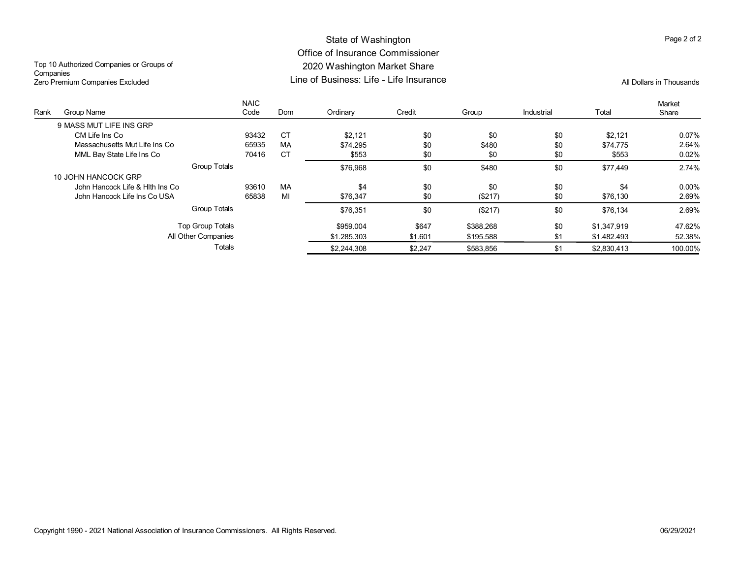# State of Washington Office of Insurance Commissioner 2020 Washington Market Share Line of Business: Life - Life Insurance All Dollars in Thousands

Top 10 Authorized Companies or Groups of **Companies** Zero Premium Companies Excluded

| Rank | Group Name                      | <b>NAIC</b><br>Code | Dom       | Ordinary    | Credit  | Group     | Industrial | Total       | Market<br>Share |
|------|---------------------------------|---------------------|-----------|-------------|---------|-----------|------------|-------------|-----------------|
|      | 9 MASS MUT LIFE INS GRP         |                     |           |             |         |           |            |             |                 |
|      | CM Life Ins Co                  | 93432               | <b>CT</b> | \$2.121     | \$0     | \$0       | \$0        | \$2.121     | 0.07%           |
|      | Massachusetts Mut Life Ins Co   | 65935               | MA        | \$74,295    | \$0     | \$480     | \$0        | \$74.775    | 2.64%           |
|      | MML Bay State Life Ins Co       | 70416               | <b>CT</b> | \$553       | \$0     | \$0       | \$0        | \$553       | 0.02%           |
|      | <b>Group Totals</b>             |                     |           | \$76,968    | \$0     | \$480     | \$0        | \$77,449    | 2.74%           |
|      | 10 JOHN HANCOCK GRP             |                     |           |             |         |           |            |             |                 |
|      | John Hancock Life & Hith Ins Co | 93610               | MA        | \$4         | \$0     | \$0       | \$0        | \$4         | $0.00\%$        |
|      | John Hancock Life Ins Co USA    | 65838               | MI        | \$76.347    | \$0     | (\$217)   | \$0        | \$76.130    | 2.69%           |
|      | <b>Group Totals</b>             |                     |           | \$76,351    | \$0     | (\$217)   | \$0        | \$76.134    | 2.69%           |
|      | <b>Top Group Totals</b>         |                     |           | \$959.004   | \$647   | \$388.268 | \$0        | \$1,347,919 | 47.62%          |
|      | All Other Companies             |                     |           | \$1.285.303 | \$1.601 | \$195.588 | \$1        | \$1.482.493 | 52.38%          |
|      | Totals                          |                     |           | \$2,244.308 | \$2.247 | \$583.856 | \$1        | \$2.830.413 | 100.00%         |

Page 2 of 2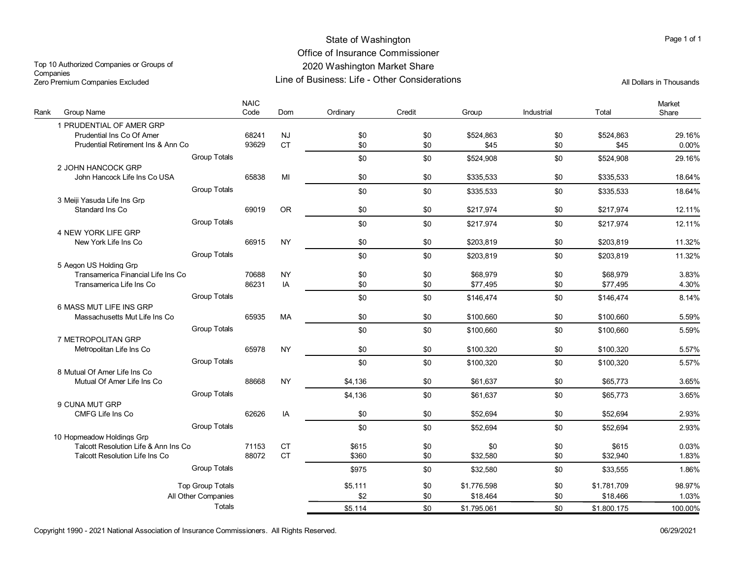# State of Washington Office of Insurance Commissioner 2020 Washington Market Share

Line of Business: Life - Other Considerations Zero Premium Companies Excluded All Dollars in Thousands Top 10 Authorized Companies or Groups of Companies<br>Zero Premium Companies Excluded

| Rank | <b>Group Name</b>                                              |                         | <b>NAIC</b><br>Code | Dom             | Ordinary   | Credit     | Group                | Industrial | Total                | Market<br>Share |
|------|----------------------------------------------------------------|-------------------------|---------------------|-----------------|------------|------------|----------------------|------------|----------------------|-----------------|
|      | 1 PRUDENTIAL OF AMER GRP                                       |                         |                     |                 |            |            |                      |            |                      |                 |
|      | Prudential Ins Co Of Amer                                      |                         | 68241               | <b>NJ</b>       | \$0        | \$0        | \$524,863            | \$0        | \$524,863            | 29.16%          |
|      | Prudential Retirement Ins & Ann Co                             |                         | 93629               | <b>CT</b>       | \$0        | \$0        | \$45                 | \$0        | \$45                 | 0.00%           |
|      |                                                                | <b>Group Totals</b>     |                     |                 | \$0        | \$0        | \$524,908            | \$0        | \$524,908            | 29.16%          |
|      | 2 JOHN HANCOCK GRP                                             |                         |                     |                 |            |            |                      |            |                      |                 |
|      | John Hancock Life Ins Co USA                                   |                         | 65838               | MI              | \$0        | \$0        | \$335,533            | \$0        | \$335,533            | 18.64%          |
|      |                                                                | <b>Group Totals</b>     |                     |                 | \$0        | \$0        | \$335,533            | \$0        | \$335,533            | 18.64%          |
|      | 3 Meiji Yasuda Life Ins Grp                                    |                         |                     |                 |            |            |                      |            |                      |                 |
|      | Standard Ins Co                                                |                         | 69019               | <b>OR</b>       | \$0        | \$0        | \$217,974            | \$0        | \$217,974            | 12.11%          |
|      |                                                                | <b>Group Totals</b>     |                     |                 | \$0        | \$0        | \$217.974            | \$0        | \$217.974            | 12.11%          |
|      | 4 NEW YORK LIFE GRP                                            |                         |                     |                 |            |            |                      |            |                      |                 |
|      | New York Life Ins Co                                           |                         | 66915               | <b>NY</b>       | \$0        | \$0        | \$203,819            | \$0        | \$203,819            | 11.32%          |
|      |                                                                | <b>Group Totals</b>     |                     |                 | \$0        | \$0        | \$203,819            | \$0        | \$203,819            | 11.32%          |
|      | 5 Aegon US Holding Grp                                         |                         |                     |                 |            |            |                      |            |                      |                 |
|      | Transamerica Financial Life Ins Co<br>Transamerica Life Ins Co |                         | 70688<br>86231      | <b>NY</b><br>IA | \$0<br>\$0 | \$0<br>\$0 | \$68,979<br>\$77,495 | \$0<br>\$0 | \$68.979<br>\$77,495 | 3.83%<br>4.30%  |
|      |                                                                |                         |                     |                 |            |            |                      |            |                      |                 |
|      | 6 MASS MUT LIFE INS GRP                                        | Group Totals            |                     |                 | \$0        | \$0        | \$146,474            | \$0        | \$146,474            | 8.14%           |
|      | Massachusetts Mut Life Ins Co                                  |                         | 65935               | MA              | \$0        | \$0        | \$100,660            | \$0        | \$100.660            | 5.59%           |
|      |                                                                | <b>Group Totals</b>     |                     |                 |            |            |                      |            |                      |                 |
|      | 7 METROPOLITAN GRP                                             |                         |                     |                 | \$0        | \$0        | \$100,660            | \$0        | \$100,660            | 5.59%           |
|      | Metropolitan Life Ins Co                                       |                         | 65978               | <b>NY</b>       | \$0        | \$0        | \$100.320            | \$0        | \$100.320            | 5.57%           |
|      |                                                                | <b>Group Totals</b>     |                     |                 | \$0        | \$0        | \$100,320            | \$0        | \$100,320            | 5.57%           |
|      | 8 Mutual Of Amer Life Ins Co                                   |                         |                     |                 |            |            |                      |            |                      |                 |
|      | Mutual Of Amer Life Ins Co                                     |                         | 88668               | <b>NY</b>       | \$4,136    | \$0        | \$61,637             | \$0        | \$65,773             | 3.65%           |
|      |                                                                | <b>Group Totals</b>     |                     |                 | \$4,136    | \$0        | \$61.637             | \$0        | \$65,773             | 3.65%           |
|      | 9 CUNA MUT GRP                                                 |                         |                     |                 |            |            |                      |            |                      |                 |
|      | <b>CMFG Life Ins Co</b>                                        |                         | 62626               | IA              | \$0        | \$0        | \$52,694             | \$0        | \$52,694             | 2.93%           |
|      |                                                                | <b>Group Totals</b>     |                     |                 | \$0        | \$0        | \$52,694             | \$0        | \$52,694             | 2.93%           |
|      | 10 Hopmeadow Holdings Grp                                      |                         |                     |                 |            |            |                      |            |                      |                 |
|      | Talcott Resolution Life & Ann Ins Co                           |                         | 71153               | <b>CT</b>       | \$615      | \$0        | \$0                  | \$0        | \$615                | 0.03%           |
|      | <b>Talcott Resolution Life Ins Co</b>                          |                         | 88072               | <b>CT</b>       | \$360      | \$0        | \$32,580             | \$0        | \$32,940             | 1.83%           |
|      |                                                                | <b>Group Totals</b>     |                     |                 | \$975      | \$0        | \$32,580             | \$0        | \$33,555             | 1.86%           |
|      |                                                                | <b>Top Group Totals</b> |                     |                 | \$5.111    | \$0        | \$1.776.598          | \$0        | \$1.781.709          | 98.97%          |
|      |                                                                | All Other Companies     |                     |                 | \$2        | \$0        | \$18,464             | \$0        | \$18,466             | 1.03%           |
|      |                                                                | Totals                  |                     |                 | \$5.114    | \$0        | \$1.795.061          | \$0        | \$1.800.175          | 100.00%         |
|      |                                                                |                         |                     |                 |            |            |                      |            |                      |                 |

Copyright 1990 - 2021 National Association of Insurance Commissioners. All Rights Reserved. 06/29/2021

Page 1 of 1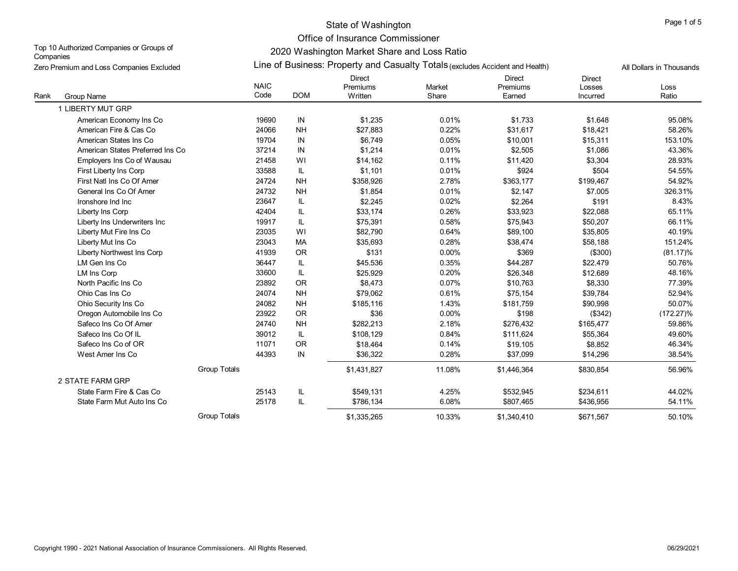### State of Washington

Office of Insurance Commissioner

Top 10 Authorized Companies or Groups of **Companies** Zero Premium and Loss Companies Excluded

# 2020 Washington Market Share and Loss Ratio Line of Business: Property and Casualty Totals (excludes Accident and Health)

|      | Zero Premium and Loss Companies Excluded |                     |            | Lift of Dusiness. Property and Casualty Totals (excludes Accident and Health) |                 |                              |                                     | All Dollars in Thousands |
|------|------------------------------------------|---------------------|------------|-------------------------------------------------------------------------------|-----------------|------------------------------|-------------------------------------|--------------------------|
| Rank | Group Name                               | <b>NAIC</b><br>Code | <b>DOM</b> | <b>Direct</b><br>Premiums<br>Written                                          | Market<br>Share | Direct<br>Premiums<br>Earned | <b>Direct</b><br>Losses<br>Incurred | Loss<br>Ratio            |
|      | 1 LIBERTY MUT GRP                        |                     |            |                                                                               |                 |                              |                                     |                          |
|      | American Economy Ins Co                  | 19690               | IN         | \$1,235                                                                       | 0.01%           | \$1,733                      | \$1,648                             | 95.08%                   |
|      | American Fire & Cas Co                   | 24066               | <b>NH</b>  | \$27,883                                                                      | 0.22%           | \$31,617                     | \$18,421                            | 58.26%                   |
|      | American States Ins Co                   | 19704               | IN         | \$6.749                                                                       | 0.05%           | \$10,001                     | \$15,311                            | 153.10%                  |
|      | American States Preferred Ins Co.        | 37214               | IN         | \$1,214                                                                       | 0.01%           | \$2,505                      | \$1,086                             | 43.36%                   |
|      | Employers Ins Co of Wausau               | 21458               | WI         | \$14,162                                                                      | 0.11%           | \$11,420                     | \$3,304                             | 28.93%                   |
|      | First Liberty Ins Corp                   | 33588               | IL.        | \$1.101                                                                       | 0.01%           | \$924                        | \$504                               | 54.55%                   |
|      | First Natl Ins Co Of Amer                | 24724               | <b>NH</b>  | \$358,926                                                                     | 2.78%           | \$363,177                    | \$199,467                           | 54.92%                   |
|      | General Ins Co Of Amer                   | 24732               | <b>NH</b>  | \$1,854                                                                       | 0.01%           | \$2,147                      | \$7,005                             | 326.31%                  |
|      | Ironshore Ind Inc                        | 23647               | IL.        | \$2,245                                                                       | 0.02%           | \$2,264                      | \$191                               | 8.43%                    |
|      | Liberty Ins Corp                         | 42404               | IL         | \$33,174                                                                      | 0.26%           | \$33,923                     | \$22,088                            | 65.11%                   |
|      | Liberty Ins Underwriters Inc             | 19917               | IL         | \$75.391                                                                      | 0.58%           | \$75,943                     | \$50,207                            | 66.11%                   |
|      | Liberty Mut Fire Ins Co                  | 23035               | WI         | \$82,790                                                                      | 0.64%           | \$89,100                     | \$35,805                            | 40.19%                   |
|      | Liberty Mut Ins Co                       | 23043               | MA         | \$35,693                                                                      | 0.28%           | \$38,474                     | \$58,188                            | 151.24%                  |
|      | Liberty Northwest Ins Corp               | 41939               | <b>OR</b>  | \$131                                                                         | 0.00%           | \$369                        | (\$300)                             | $(81.17)\%$              |
|      | LM Gen Ins Co                            | 36447               | IL         | \$45,536                                                                      | 0.35%           | \$44,287                     | \$22,479                            | 50.76%                   |
|      | LM Ins Corp                              | 33600               | IL         | \$25,929                                                                      | 0.20%           | \$26,348                     | \$12,689                            | 48.16%                   |
|      | North Pacific Ins Co                     | 23892               | <b>OR</b>  | \$8,473                                                                       | 0.07%           | \$10,763                     | \$8,330                             | 77.39%                   |
|      | Ohio Cas Ins Co                          | 24074               | <b>NH</b>  | \$79,062                                                                      | 0.61%           | \$75,154                     | \$39,784                            | 52.94%                   |
|      | Ohio Security Ins Co                     | 24082               | <b>NH</b>  | \$185,116                                                                     | 1.43%           | \$181,759                    | \$90,998                            | 50.07%                   |
|      | Oregon Automobile Ins Co                 | 23922               | <b>OR</b>  | \$36                                                                          | 0.00%           | \$198                        | (\$342)                             | $(172.27)\%$             |
|      | Safeco Ins Co Of Amer                    | 24740               | <b>NH</b>  | \$282,213                                                                     | 2.18%           | \$276,432                    | \$165,477                           | 59.86%                   |
|      | Safeco Ins Co Of IL                      | 39012               | L          | \$108,129                                                                     | 0.84%           | \$111,624                    | \$55,364                            | 49.60%                   |
|      | Safeco Ins Co of OR                      | 11071               | <b>OR</b>  | \$18.464                                                                      | 0.14%           | \$19,105                     | \$8,852                             | 46.34%                   |
|      | West Amer Ins Co                         | 44393               | IN         | \$36,322                                                                      | 0.28%           | \$37,099                     | \$14,296                            | 38.54%                   |
|      |                                          | <b>Group Totals</b> |            | \$1,431,827                                                                   | 11.08%          | \$1,446,364                  | \$830,854                           | 56.96%                   |
|      | 2 STATE FARM GRP                         |                     |            |                                                                               |                 |                              |                                     |                          |
|      | State Farm Fire & Cas Co                 | 25143               | IL.        | \$549,131                                                                     | 4.25%           | \$532,945                    | \$234,611                           | 44.02%                   |
|      | State Farm Mut Auto Ins Co               | 25178               | IL         | \$786,134                                                                     | 6.08%           | \$807,465                    | \$436,956                           | 54.11%                   |
|      |                                          | Group Totals        |            | \$1,335,265                                                                   | 10.33%          | \$1,340,410                  | \$671,567                           | 50.10%                   |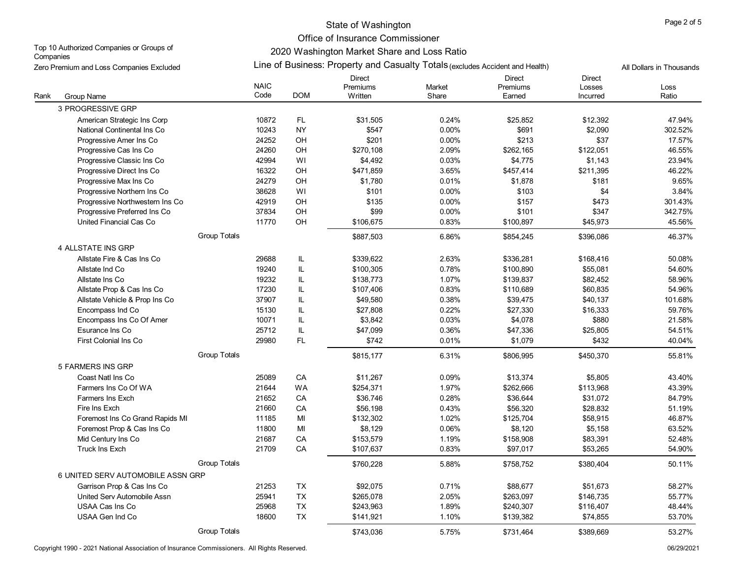# State of Washington **Page 2 of 5** and 2 of 5

Office of Insurance Commissioner

Top 10 Authorized Companies or Groups of **Companies** Zero Premium and Loss Companies Excluded

# 2020 Washington Market Share and Loss Ratio Line of Business: Property and Casualty Totals (excludes Accident and Health) All Dollars in Thousands

|      |                                   | <b>NAIC</b> |            | <b>Direct</b><br>Premiums | Market | <b>Direct</b><br>Premiums | <b>Direct</b><br>Losses | Loss    |
|------|-----------------------------------|-------------|------------|---------------------------|--------|---------------------------|-------------------------|---------|
| Rank | Group Name                        | Code        | <b>DOM</b> | Written                   | Share  | Earned                    | Incurred                | Ratio   |
|      | 3 PROGRESSIVE GRP                 |             |            |                           |        |                           |                         |         |
|      | American Strategic Ins Corp       | 10872       | FL.        | \$31.505                  | 0.24%  | \$25.852                  | \$12,392                | 47.94%  |
|      | National Continental Ins Co       | 10243       | <b>NY</b>  | \$547                     | 0.00%  | \$691                     | \$2,090                 | 302.52% |
|      | Progressive Amer Ins Co           | 24252       | OH         | \$201                     | 0.00%  | \$213                     | \$37                    | 17.57%  |
|      | Progressive Cas Ins Co            | 24260       | OH         | \$270,108                 | 2.09%  | \$262,165                 | \$122,051               | 46.55%  |
|      | Progressive Classic Ins Co        | 42994       | WI         | \$4,492                   | 0.03%  | \$4,775                   | \$1,143                 | 23.94%  |
|      | Progressive Direct Ins Co         | 16322       | OH         | \$471,859                 | 3.65%  | \$457,414                 | \$211,395               | 46.22%  |
|      | Progressive Max Ins Co            | 24279       | OH         | \$1.780                   | 0.01%  | \$1.878                   | \$181                   | 9.65%   |
|      | Progressive Northern Ins Co       | 38628       | WI         | \$101                     | 0.00%  | \$103                     | \$4                     | 3.84%   |
|      | Progressive Northwestern Ins Co   | 42919       | OH         | \$135                     | 0.00%  | \$157                     | \$473                   | 301.43% |
|      | Progressive Preferred Ins Co      | 37834       | OH         | \$99                      | 0.00%  | \$101                     | \$347                   | 342.75% |
|      | United Financial Cas Co           | 11770       | OH         | \$106,675                 | 0.83%  | \$100,897                 | \$45,973                | 45.56%  |
|      | <b>Group Totals</b>               |             |            | \$887,503                 | 6.86%  | \$854.245                 | \$396,086               | 46.37%  |
|      | <b>4 ALLSTATE INS GRP</b>         |             |            |                           |        |                           |                         |         |
|      | Allstate Fire & Cas Ins Co        | 29688       | IL         | \$339,622                 | 2.63%  | \$336,281                 | \$168,416               | 50.08%  |
|      | Allstate Ind Co                   | 19240       | IL         | \$100,305                 | 0.78%  | \$100,890                 | \$55,081                | 54.60%  |
|      | Allstate Ins Co                   | 19232       | IL         | \$138,773                 | 1.07%  | \$139,837                 | \$82,452                | 58.96%  |
|      | Allstate Prop & Cas Ins Co        | 17230       | IL         | \$107,406                 | 0.83%  | \$110,689                 | \$60,835                | 54.96%  |
|      | Allstate Vehicle & Prop Ins Co    | 37907       | IL         | \$49,580                  | 0.38%  | \$39,475                  | \$40,137                | 101.68% |
|      | Encompass Ind Co                  | 15130       | IL         | \$27.808                  | 0.22%  | \$27.330                  | \$16,333                | 59.76%  |
|      | Encompass Ins Co Of Amer          | 10071       | IL         | \$3,842                   | 0.03%  | \$4,078                   | \$880                   | 21.58%  |
|      | Esurance Ins Co                   | 25712       | IL         | \$47,099                  | 0.36%  | \$47,336                  | \$25,805                | 54.51%  |
|      | First Colonial Ins Co             | 29980       | FL         | \$742                     | 0.01%  | \$1,079                   | \$432                   | 40.04%  |
|      | Group Totals                      |             |            | \$815,177                 | 6.31%  | \$806,995                 | \$450,370               | 55.81%  |
|      | 5 FARMERS INS GRP                 |             |            |                           |        |                           |                         |         |
|      | Coast Natl Ins Co                 | 25089       | CA         | \$11.267                  | 0.09%  | \$13.374                  | \$5,805                 | 43.40%  |
|      | Farmers Ins Co Of WA              | 21644       | <b>WA</b>  | \$254,371                 | 1.97%  | \$262,666                 | \$113,968               | 43.39%  |
|      | Farmers Ins Exch                  | 21652       | CA         | \$36,746                  | 0.28%  | \$36,644                  | \$31,072                | 84.79%  |
|      | Fire Ins Exch                     | 21660       | CA         | \$56.198                  | 0.43%  | \$56.320                  | \$28.832                | 51.19%  |
|      | Foremost Ins Co Grand Rapids MI   | 11185       | MI         | \$132,302                 | 1.02%  | \$125,704                 | \$58,915                | 46.87%  |
|      | Foremost Prop & Cas Ins Co        | 11800       | MI         | \$8,129                   | 0.06%  | \$8,120                   | \$5,158                 | 63.52%  |
|      | Mid Century Ins Co                | 21687       | ${\sf CA}$ | \$153,579                 | 1.19%  | \$158,908                 | \$83,391                | 52.48%  |
|      | <b>Truck Ins Exch</b>             | 21709       | CA         | \$107,637                 | 0.83%  | \$97,017                  | \$53,265                | 54.90%  |
|      | Group Totals                      |             |            | \$760,228                 | 5.88%  | \$758,752                 | \$380,404               | 50.11%  |
|      | 6 UNITED SERV AUTOMOBILE ASSN GRP |             |            |                           |        |                           |                         |         |
|      | Garrison Prop & Cas Ins Co        | 21253       | TX         | \$92,075                  | 0.71%  | \$88,677                  | \$51,673                | 58.27%  |
|      | United Serv Automobile Assn       | 25941       | <b>TX</b>  | \$265,078                 | 2.05%  | \$263,097                 | \$146,735               | 55.77%  |
|      | USAA Cas Ins Co                   | 25968       | <b>TX</b>  | \$243,963                 | 1.89%  | \$240,307                 | \$116,407               | 48.44%  |
|      | USAA Gen Ind Co                   | 18600       | <b>TX</b>  | \$141,921                 | 1.10%  | \$139,382                 | \$74,855                | 53.70%  |
|      | <b>Group Totals</b>               |             |            | \$743.036                 | 5.75%  | \$731.464                 | \$389.669               | 53.27%  |

Copyright 1990 - 2021 National Association of Insurance Commissioners. All Rights Reserved. 06/29/2021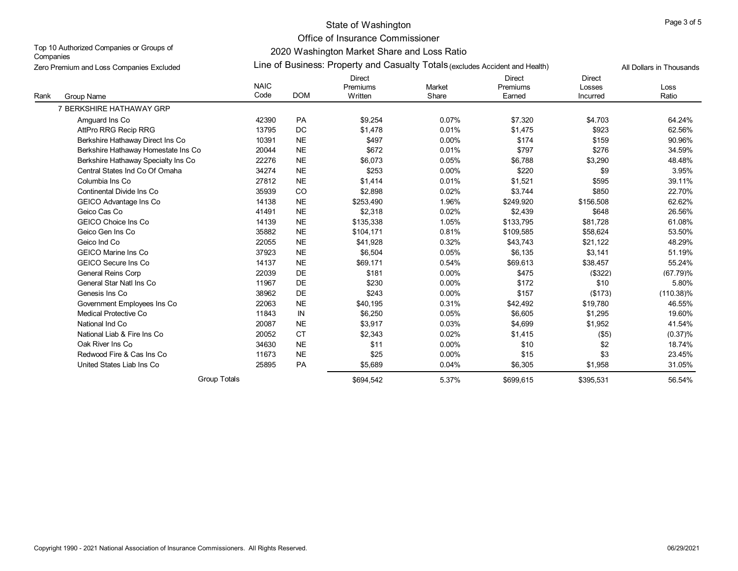# State of Washington **Page 3 of 5** and 2 of 5 and 2 of 5 and 2 of 5 and 2 of 5 and 2 of 5 and 2 of 5 and 2 of 5 and 2 of 5 and 2 of 5 and 2 of 5 and 2 of 5 and 2 of 5 and 2 of 5 and 2 of 5 and 2 of 5 and 2 of 5 and 2 of 5 a

Office of Insurance Commissioner

Top 10 Authorized Companies or Groups of **Companies** Zero Premium and Loss Companies Excluded

# 2020 Washington Market Share and Loss Ratio Line of Business: Property and Casualty Totals (excludes Accident and Health) All Dollars in Thousands

| Rank<br>Group Name                  | <b>NAIC</b><br>Code | <b>DOM</b> | <b>Direct</b><br>Premiums<br>Written | Market<br>Share | <b>Direct</b><br>Premiums<br>Earned | <b>Direct</b><br>Losses<br>Incurred | Loss<br>Ratio |
|-------------------------------------|---------------------|------------|--------------------------------------|-----------------|-------------------------------------|-------------------------------------|---------------|
| 7 BERKSHIRE HATHAWAY GRP            |                     |            |                                      |                 |                                     |                                     |               |
| Amquard Ins Co                      | 42390               | PA         | \$9.254                              | 0.07%           | \$7.320                             | \$4.703                             | 64.24%        |
| AttPro RRG Recip RRG                | 13795               | DC         | \$1.478                              | 0.01%           | \$1.475                             | \$923                               | 62.56%        |
| Berkshire Hathaway Direct Ins Co    | 10391               | <b>NE</b>  | \$497                                | 0.00%           | \$174                               | \$159                               | 90.96%        |
| Berkshire Hathaway Homestate Ins Co | 20044               | <b>NE</b>  | \$672                                | 0.01%           | \$797                               | \$276                               | 34.59%        |
| Berkshire Hathaway Specialty Ins Co | 22276               | <b>NE</b>  | \$6,073                              | 0.05%           | \$6,788                             | \$3,290                             | 48.48%        |
| Central States Ind Co Of Omaha      | 34274               | <b>NE</b>  | \$253                                | 0.00%           | \$220                               | \$9                                 | 3.95%         |
| Columbia Ins Co                     | 27812               | <b>NE</b>  | \$1.414                              | 0.01%           | \$1,521                             | \$595                               | 39.11%        |
| Continental Divide Ins Co.          | 35939               | CO         | \$2,898                              | 0.02%           | \$3,744                             | \$850                               | 22.70%        |
| GEICO Advantage Ins Co              | 14138               | <b>NE</b>  | \$253,490                            | 1.96%           | \$249.920                           | \$156,508                           | 62.62%        |
| Geico Cas Co                        | 41491               | <b>NE</b>  | \$2,318                              | 0.02%           | \$2,439                             | \$648                               | 26.56%        |
| <b>GEICO Choice Ins Co</b>          | 14139               | <b>NE</b>  | \$135.338                            | 1.05%           | \$133.795                           | \$81.728                            | 61.08%        |
| Geico Gen Ins Co                    | 35882               | $NE$       | \$104,171                            | 0.81%           | \$109,585                           | \$58,624                            | 53.50%        |
| Geico Ind Co                        | 22055               | <b>NE</b>  | \$41.928                             | 0.32%           | \$43,743                            | \$21,122                            | 48.29%        |
| <b>GEICO Marine Ins Co</b>          | 37923               | $NE$       | \$6,504                              | 0.05%           | \$6,135                             | \$3,141                             | 51.19%        |
| <b>GEICO Secure Ins Co</b>          | 14137               | <b>NE</b>  | \$69.171                             | 0.54%           | \$69.613                            | \$38.457                            | 55.24%        |
| <b>General Reins Corp</b>           | 22039               | DE         | \$181                                | 0.00%           | \$475                               | (\$322)                             | (67.79)%      |
| General Star Natl Ins Co            | 11967               | <b>DE</b>  | \$230                                | $0.00\%$        | \$172                               | \$10                                | 5.80%         |
| Genesis Ins Co                      | 38962               | <b>DE</b>  | \$243                                | $0.00\%$        | \$157                               | (\$173)                             | $(110.38)\%$  |
| Government Employees Ins Co         | 22063               | <b>NE</b>  | \$40,195                             | 0.31%           | \$42,492                            | \$19,780                            | 46.55%        |
| Medical Protective Co               | 11843               | IN         | \$6,250                              | 0.05%           | \$6,605                             | \$1,295                             | 19.60%        |
| National Ind Co                     | 20087               | <b>NE</b>  | \$3,917                              | 0.03%           | \$4,699                             | \$1,952                             | 41.54%        |
| National Liab & Fire Ins Co         | 20052               | <b>CT</b>  | \$2,343                              | 0.02%           | \$1,415                             | ( \$5)                              | $(0.37)\%$    |
| Oak River Ins Co                    | 34630               | <b>NE</b>  | \$11                                 | 0.00%           | \$10                                | \$2                                 | 18.74%        |
| Redwood Fire & Cas Ins Co           | 11673               | <b>NE</b>  | \$25                                 | $0.00\%$        | \$15                                | \$3                                 | 23.45%        |
| United States Liab Ins Co           | 25895               | PA         | \$5.689                              | 0.04%           | \$6.305                             | \$1,958                             | 31.05%        |
|                                     | <b>Group Totals</b> |            | \$694,542                            | 5.37%           | \$699,615                           | \$395,531                           | 56.54%        |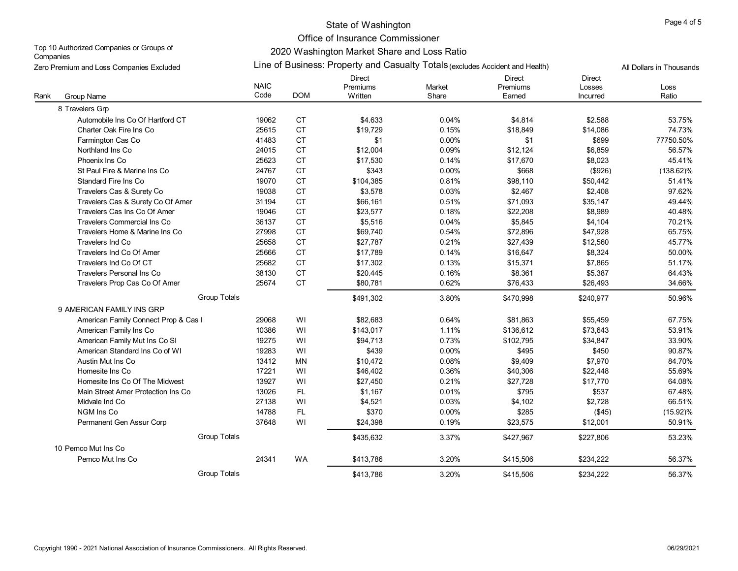# State of Washington **Page 4 of 5** and 2 of 5

Office of Insurance Commissioner

Top 10 Authorized Companies or Groups of **Companies** Zero Premium and Loss Companies Excluded

### 2020 Washington Market Share and Loss Ratio Line of Business: Property and Casualty Totals (excludes Accident and Health) All Dollars in Thousands

| Lui U Turnum and Loud Ouripanicu Litoladuc |                     |            |                                      |                 |                                     |                                     |               |
|--------------------------------------------|---------------------|------------|--------------------------------------|-----------------|-------------------------------------|-------------------------------------|---------------|
| Rank<br>Group Name                         | <b>NAIC</b><br>Code | <b>DOM</b> | <b>Direct</b><br>Premiums<br>Written | Market<br>Share | <b>Direct</b><br>Premiums<br>Earned | <b>Direct</b><br>Losses<br>Incurred | Loss<br>Ratio |
| 8 Travelers Grp                            |                     |            |                                      |                 |                                     |                                     |               |
| Automobile Ins Co Of Hartford CT           | 19062               | <b>CT</b>  | \$4.633                              | 0.04%           | \$4.814                             | \$2.588                             | 53.75%        |
| Charter Oak Fire Ins Co                    | 25615               | CT         | \$19,729                             | 0.15%           | \$18,849                            | \$14,086                            | 74.73%        |
| Farmington Cas Co                          | 41483               | <b>CT</b>  | \$1                                  | 0.00%           | \$1                                 | \$699                               | 77750.50%     |
| Northland Ins Co                           | 24015               | CT         | \$12,004                             | 0.09%           | \$12,124                            | \$6,859                             | 56.57%        |
| Phoenix Ins Co                             | 25623               | <b>CT</b>  | \$17,530                             | 0.14%           | \$17,670                            | \$8,023                             | 45.41%        |
| St Paul Fire & Marine Ins Co               | 24767               | <b>CT</b>  | \$343                                | 0.00%           | \$668                               | ( \$926)                            | $(138.62)\%$  |
| <b>Standard Fire Ins Co</b>                | 19070               | CT         | \$104,385                            | 0.81%           | \$98,110                            | \$50,442                            | 51.41%        |
| Travelers Cas & Surety Co                  | 19038               | CT         | \$3,578                              | 0.03%           | \$2,467                             | \$2,408                             | 97.62%        |
| Travelers Cas & Surety Co Of Amer          | 31194               | CT         | \$66,161                             | 0.51%           | \$71,093                            | \$35,147                            | 49.44%        |
| Travelers Cas Ins Co Of Amer               | 19046               | CT         | \$23,577                             | 0.18%           | \$22,208                            | \$8,989                             | 40.48%        |
| Travelers Commercial Ins Co                | 36137               | <b>CT</b>  | \$5,516                              | 0.04%           | \$5.845                             | \$4,104                             | 70.21%        |
| Travelers Home & Marine Ins Co             | 27998               | CT         | \$69,740                             | 0.54%           | \$72,896                            | \$47,928                            | 65.75%        |
| <b>Travelers Ind Co</b>                    | 25658               | CT         | \$27,787                             | 0.21%           | \$27,439                            | \$12,560                            | 45.77%        |
| Travelers Ind Co Of Amer                   | 25666               | CT         | \$17,789                             | 0.14%           | \$16,647                            | \$8,324                             | 50.00%        |
| Travelers Ind Co Of CT                     | 25682               | CT         | \$17,302                             | 0.13%           | \$15,371                            | \$7,865                             | 51.17%        |
| Travelers Personal Ins Co                  | 38130               | <b>CT</b>  | \$20,445                             | 0.16%           | \$8,361                             | \$5,387                             | 64.43%        |
| Travelers Prop Cas Co Of Amer              | 25674               | <b>CT</b>  | \$80,781                             | 0.62%           | \$76,433                            | \$26,493                            | 34.66%        |
| <b>Group Totals</b>                        |                     |            | \$491,302                            | 3.80%           | \$470,998                           | \$240,977                           | 50.96%        |
| 9 AMERICAN FAMILY INS GRP                  |                     |            |                                      |                 |                                     |                                     |               |
| American Family Connect Prop & Cas I       | 29068               | WI         | \$82,683                             | 0.64%           | \$81,863                            | \$55,459                            | 67.75%        |
| American Family Ins Co                     | 10386               | WI         | \$143,017                            | 1.11%           | \$136,612                           | \$73,643                            | 53.91%        |
| American Family Mut Ins Co SI              | 19275               | WI         | \$94.713                             | 0.73%           | \$102.795                           | \$34,847                            | 33.90%        |
| American Standard Ins Co of WI             | 19283               | WI         | \$439                                | 0.00%           | \$495                               | \$450                               | 90.87%        |
| Austin Mut Ins Co                          | 13412               | <b>MN</b>  | \$10.472                             | 0.08%           | \$9,409                             | \$7,970                             | 84.70%        |
| Homesite Ins Co                            | 17221               | WI         | \$46,402                             | 0.36%           | \$40,306                            | \$22,448                            | 55.69%        |
| Homesite Ins Co Of The Midwest             | 13927               | WI         | \$27,450                             | 0.21%           | \$27,728                            | \$17,770                            | 64.08%        |
| Main Street Amer Protection Ins Co         | 13026               | FL.        | \$1.167                              | 0.01%           | \$795                               | \$537                               | 67.48%        |
| Midvale Ind Co                             | 27138               | WI         | \$4,521                              | 0.03%           | \$4,102                             | \$2,728                             | 66.51%        |
| NGM Ins Co                                 | 14788               | FL.        | \$370                                | 0.00%           | \$285                               | (\$45)                              | $(15.92)\%$   |
| Permanent Gen Assur Corp                   | 37648               | WI         | \$24,398                             | 0.19%           | \$23,575                            | \$12,001                            | 50.91%        |
| <b>Group Totals</b>                        |                     |            | \$435,632                            | 3.37%           | \$427,967                           | \$227,806                           | 53.23%        |
| 10 Pemco Mut Ins Co                        |                     |            |                                      |                 |                                     |                                     |               |
| Pemco Mut Ins Co                           | 24341               | <b>WA</b>  | \$413,786                            | 3.20%           | \$415,506                           | \$234,222                           | 56.37%        |
| <b>Group Totals</b>                        |                     |            | \$413,786                            | 3.20%           | \$415,506                           | \$234,222                           | 56.37%        |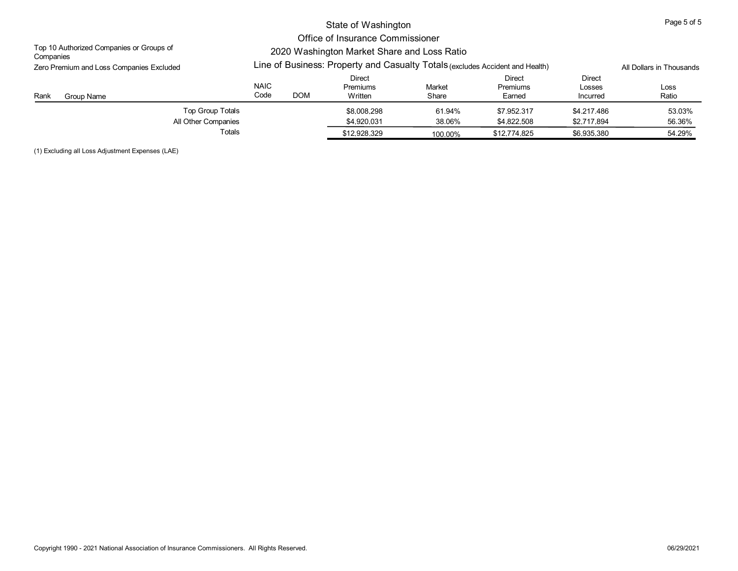|                                                       |                                                                                 | Page 5 of 5              |                               |                  |                              |                              |                  |
|-------------------------------------------------------|---------------------------------------------------------------------------------|--------------------------|-------------------------------|------------------|------------------------------|------------------------------|------------------|
| Top 10 Authorized Companies or Groups of<br>Companies | Office of Insurance Commissioner<br>2020 Washington Market Share and Loss Ratio |                          |                               |                  |                              |                              |                  |
| Zero Premium and Loss Companies Excluded              | Line of Business: Property and Casualty Totals (excludes Accident and Health)   | All Dollars in Thousands |                               |                  |                              |                              |                  |
| Rank<br>Group Name                                    | <b>NAIC</b><br>Code                                                             | <b>DOM</b>               | Direct<br>Premiums<br>Written | Market<br>Share  | Direct<br>Premiums<br>Earned | Direct<br>Losses<br>Incurred | Loss<br>Ratio    |
| Top Group Totals<br>All Other Companies               |                                                                                 |                          | \$8,008,298<br>\$4.920.031    | 61.94%<br>38.06% | \$7.952.317<br>\$4.822.508   | \$4,217,486<br>\$2.717.894   | 53.03%<br>56.36% |
| Totals                                                |                                                                                 |                          | \$12.928.329                  | 100.00%          | \$12,774,825                 | \$6.935.380                  | 54.29%           |

(1) Excluding all Loss Adjustment Expenses (LAE)